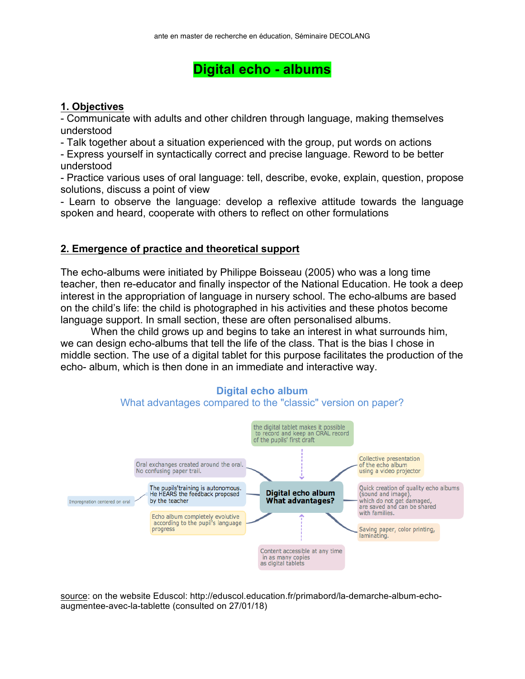# **Digital echo - albums**

## **1. Objectives**

- Communicate with adults and other children through language, making themselves understood

- Talk together about a situation experienced with the group, put words on actions

- Express yourself in syntactically correct and precise language. Reword to be better understood

- Practice various uses of oral language: tell, describe, evoke, explain, question, propose solutions, discuss a point of view

- Learn to observe the language: develop a reflexive attitude towards the language spoken and heard, cooperate with others to reflect on other formulations

# **2. Emergence of practice and theoretical support**

The echo-albums were initiated by Philippe Boisseau (2005) who was a long time teacher, then re-educator and finally inspector of the National Education. He took a deep interest in the appropriation of language in nursery school. The echo-albums are based on the child's life: the child is photographed in his activities and these photos become language support. In small section, these are often personalised albums.

When the child grows up and begins to take an interest in what surrounds him, we can design echo-albums that tell the life of the class. That is the bias I chose in middle section. The use of a digital tablet for this purpose facilitates the production of the echo- album, which is then done in an immediate and interactive way.



source: on the website Eduscol: http://eduscol.education.fr/primabord/la-demarche-album-echoaugmentee-avec-la-tablette (consulted on 27/01/18)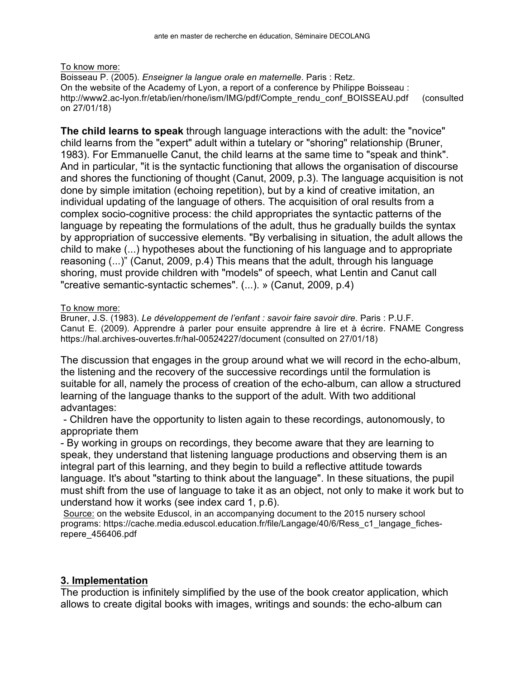To know more:

Boisseau P. (2005). *Enseigner la langue orale en maternelle*. Paris : Retz. On the website of the Academy of Lyon, a report of a conference by Philippe Boisseau : http://www2.ac-lyon.fr/etab/ien/rhone/ism/IMG/pdf/Compte\_rendu\_conf\_BOISSEAU.pdf (consulted on 27/01/18)

**The child learns to speak** through language interactions with the adult: the "novice" child learns from the "expert" adult within a tutelary or "shoring" relationship (Bruner, 1983). For Emmanuelle Canut, the child learns at the same time to "speak and think". And in particular, "it is the syntactic functioning that allows the organisation of discourse and shores the functioning of thought (Canut, 2009, p.3). The language acquisition is not done by simple imitation (echoing repetition), but by a kind of creative imitation, an individual updating of the language of others. The acquisition of oral results from a complex socio-cognitive process: the child appropriates the syntactic patterns of the language by repeating the formulations of the adult, thus he gradually builds the syntax by appropriation of successive elements. "By verbalising in situation, the adult allows the child to make (...) hypotheses about the functioning of his language and to appropriate reasoning (...)" (Canut, 2009, p.4) This means that the adult, through his language shoring, must provide children with "models" of speech, what Lentin and Canut call "creative semantic-syntactic schemes". (...). » (Canut, 2009, p.4)

#### To know more:

Bruner, J.S. (1983). *Le développement de l'enfant : savoir faire savoir dire*. Paris : P.U.F. Canut E. (2009). Apprendre à parler pour ensuite apprendre à lire et à écrire. FNAME Congress https://hal.archives-ouvertes.fr/hal-00524227/document (consulted on 27/01/18)

The discussion that engages in the group around what we will record in the echo-album, the listening and the recovery of the successive recordings until the formulation is suitable for all, namely the process of creation of the echo-album, can allow a structured learning of the language thanks to the support of the adult. With two additional advantages:

- Children have the opportunity to listen again to these recordings, autonomously, to appropriate them

- By working in groups on recordings, they become aware that they are learning to speak, they understand that listening language productions and observing them is an integral part of this learning, and they begin to build a reflective attitude towards language. It's about "starting to think about the language". In these situations, the pupil must shift from the use of language to take it as an object, not only to make it work but to understand how it works (see index card 1, p.6).

Source: on the website Eduscol, in an accompanying document to the 2015 nursery school programs: https://cache.media.eduscol.education.fr/file/Langage/40/6/Ress\_c1\_langage\_fichesrepere\_456406.pdf

### **3. Implementation**

The production is infinitely simplified by the use of the book creator application, which allows to create digital books with images, writings and sounds: the echo-album can